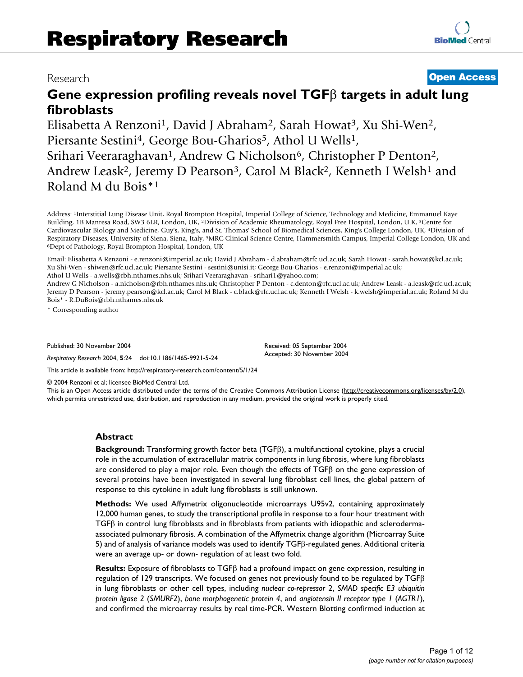# Research **[Open Access](http://www.biomedcentral.com/info/about/charter/)**

# **Gene expression profiling reveals novel TGF**β **targets in adult lung fibroblasts**

Elisabetta A Renzoni1, David J Abraham2, Sarah Howat3, Xu Shi-Wen2, Piersante Sestini<sup>4</sup>, George Bou-Gharios<sup>5</sup>, Athol U Wells<sup>1</sup>, Srihari Veeraraghavan<sup>1</sup>, Andrew G Nicholson<sup>6</sup>, Christopher P Denton<sup>2</sup>, Andrew Leask<sup>2</sup>, Jeremy D Pearson<sup>3</sup>, Carol M Black<sup>2</sup>, Kenneth I Welsh<sup>1</sup> and Roland M du Bois\*1

Address: 1Interstitial Lung Disease Unit, Royal Brompton Hospital, Imperial College of Science, Technology and Medicine, Emmanuel Kaye Building, 1B Manresa Road, SW3 6LR, London, UK, 2Division of Academic Rheumatology, Royal Free Hospital, London, U.K, 3Centre for Cardiovascular Biology and Medicine, Guy's, King's, and St. Thomas' School of Biomedical Sciences, King's College London, UK, 4Division of Respiratory Diseases, University of Siena, Siena, Italy, <sup>5</sup>MRC Clinical Science Centre, Hammersmith Campus, Imperial College London, UK and <sup>6</sup>Dept of Pathology, Royal Brompton Hospital, London, UK

Email: Elisabetta A Renzoni - e.renzoni@imperial.ac.uk; David J Abraham - d.abraham@rfc.ucl.ac.uk; Sarah Howat - sarah.howat@kcl.ac.uk; Xu Shi-Wen - shiwen@rfc.ucl.ac.uk; Piersante Sestini - sestini@unisi.it; George Bou-Gharios - e.renzoni@imperial.ac.uk; Athol U Wells - a.wells@rbh.nthames.nhs.uk; Srihari Veeraraghavan - srihari1@yahoo.com;

Andrew G Nicholson - a.nicholson@rbh.nthames.nhs.uk; Christopher P Denton - c.denton@rfc.ucl.ac.uk; Andrew Leask - a.leask@rfc.ucl.ac.uk; Jeremy D Pearson - jeremy.pearson@kcl.ac.uk; Carol M Black - c.black@rfc.ucl.ac.uk; Kenneth I Welsh - k.welsh@imperial.ac.uk; Roland M du

Bois\* - R.DuBois@rbh.nthames.nhs.uk

\* Corresponding author

Published: 30 November 2004

*Respiratory Research* 2004, **5**:24 doi:10.1186/1465-9921-5-24

[This article is available from: http://respiratory-research.com/content/5/1/24](http://respiratory-research.com/content/5/1/24)

© 2004 Renzoni et al; licensee BioMed Central Ltd.

This is an Open Access article distributed under the terms of the Creative Commons Attribution License [\(http://creativecommons.org/licenses/by/2.0\)](http://creativecommons.org/licenses/by/2.0), which permits unrestricted use, distribution, and reproduction in any medium, provided the original work is properly cited.

Received: 05 September 2004 Accepted: 30 November 2004

### **Abstract**

**Background:** Transforming growth factor beta (TGFβ), a multifunctional cytokine, plays a crucial role in the accumulation of extracellular matrix components in lung fibrosis, where lung fibroblasts are considered to play a major role. Even though the effects of TGFβ on the gene expression of several proteins have been investigated in several lung fibroblast cell lines, the global pattern of response to this cytokine in adult lung fibroblasts is still unknown.

**Methods:** We used Affymetrix oligonucleotide microarrays U95v2, containing approximately 12,000 human genes, to study the transcriptional profile in response to a four hour treatment with TGFβ in control lung fibroblasts and in fibroblasts from patients with idiopathic and sclerodermaassociated pulmonary fibrosis. A combination of the Affymetrix change algorithm (Microarray Suite 5) and of analysis of variance models was used to identify TGFβ-regulated genes. Additional criteria were an average up- or down- regulation of at least two fold.

**Results:** Exposure of fibroblasts to TGFβ had a profound impact on gene expression, resulting in regulation of 129 transcripts. We focused on genes not previously found to be regulated by TGFβ in lung fibroblasts or other cell types, including *nuclear co-repressor* 2, *SMAD specific E3 ubiquitin protein ligase 2* (*SMURF2*), *bone morphogenetic protein 4*, and *angiotensin II receptor type 1* (*AGTR1*), and confirmed the microarray results by real time-PCR. Western Blotting confirmed induction at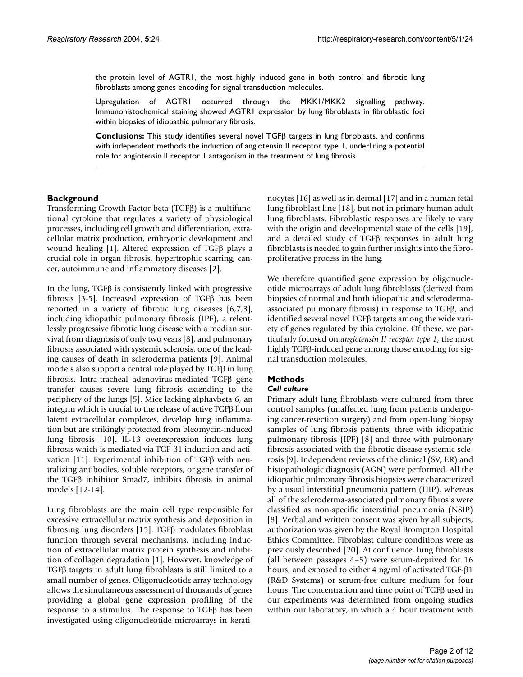the protein level of AGTR1, the most highly induced gene in both control and fibrotic lung fibroblasts among genes encoding for signal transduction molecules.

Upregulation of AGTR1 occurred through the MKK1/MKK2 signalling pathway. Immunohistochemical staining showed AGTR1 expression by lung fibroblasts in fibroblastic foci within biopsies of idiopathic pulmonary fibrosis.

**Conclusions:** This study identifies several novel TGFβ targets in lung fibroblasts, and confirms with independent methods the induction of angiotensin II receptor type 1, underlining a potential role for angiotensin II receptor 1 antagonism in the treatment of lung fibrosis.

### **Background**

Transforming Growth Factor beta (TGFβ) is a multifunctional cytokine that regulates a variety of physiological processes, including cell growth and differentiation, extracellular matrix production, embryonic development and wound healing [1]. Altered expression of TGFβ plays a crucial role in organ fibrosis, hypertrophic scarring, cancer, autoimmune and inflammatory diseases [2].

In the lung, TGFβ is consistently linked with progressive fibrosis [3-5]. Increased expression of TGFβ has been reported in a variety of fibrotic lung diseases [6,7,3], including idiopathic pulmonary fibrosis (IPF), a relentlessly progressive fibrotic lung disease with a median survival from diagnosis of only two years [8], and pulmonary fibrosis associated with systemic sclerosis, one of the leading causes of death in scleroderma patients [9]. Animal models also support a central role played by TGFβ in lung fibrosis. Intra-tracheal adenovirus-mediated TGFβ gene transfer causes severe lung fibrosis extending to the periphery of the lungs [5]. Mice lacking alphavbeta 6, an integrin which is crucial to the release of active TGFβ from latent extracellular complexes, develop lung inflammation but are strikingly protected from bleomycin-induced lung fibrosis [10]. IL-13 overexpression induces lung fibrosis which is mediated via TGF-β1 induction and activation [11]. Experimental inhibition of TGFβ with neutralizing antibodies, soluble receptors, or gene transfer of the TGFβ inhibitor Smad7, inhibits fibrosis in animal models [12-14].

Lung fibroblasts are the main cell type responsible for excessive extracellular matrix synthesis and deposition in fibrosing lung disorders [15]. TGFβ modulates fibroblast function through several mechanisms, including induction of extracellular matrix protein synthesis and inhibition of collagen degradation [1]. However, knowledge of TGFβ targets in adult lung fibroblasts is still limited to a small number of genes. Oligonucleotide array technology allows the simultaneous assessment of thousands of genes providing a global gene expression profiling of the response to a stimulus. The response to TGFβ has been investigated using oligonucleotide microarrays in keratinocytes [16] as well as in dermal [17] and in a human fetal lung fibroblast line [18], but not in primary human adult lung fibroblasts. Fibroblastic responses are likely to vary with the origin and developmental state of the cells [19], and a detailed study of TGFβ responses in adult lung fibroblasts is needed to gain further insights into the fibroproliferative process in the lung.

We therefore quantified gene expression by oligonucleotide microarrays of adult lung fibroblasts (derived from biopsies of normal and both idiopathic and sclerodermaassociated pulmonary fibrosis) in response to TGFβ, and identified several novel TGFβ targets among the wide variety of genes regulated by this cytokine. Of these, we particularly focused on *angiotensin II receptor type 1*, the most highly TGFβ-induced gene among those encoding for signal transduction molecules.

### **Methods**

#### *Cell culture*

Primary adult lung fibroblasts were cultured from three control samples (unaffected lung from patients undergoing cancer-resection surgery) and from open-lung biopsy samples of lung fibrosis patients, three with idiopathic pulmonary fibrosis (IPF) [8] and three with pulmonary fibrosis associated with the fibrotic disease systemic sclerosis [9]. Independent reviews of the clinical (SV, ER) and histopathologic diagnosis (AGN) were performed. All the idiopathic pulmonary fibrosis biopsies were characterized by a usual interstitial pneumonia pattern (UIP), whereas all of the scleroderma-associated pulmonary fibrosis were classified as non-specific interstitial pneumonia (NSIP) [8]. Verbal and written consent was given by all subjects; authorization was given by the Royal Brompton Hospital Ethics Committee. Fibroblast culture conditions were as previously described [20]. At confluence, lung fibroblasts (all between passages 4–5) were serum-deprived for 16 hours, and exposed to either 4 ng/ml of activated TGF-β1 (R&D Systems) or serum-free culture medium for four hours. The concentration and time point of TGFβ used in our experiments was determined from ongoing studies within our laboratory, in which a 4 hour treatment with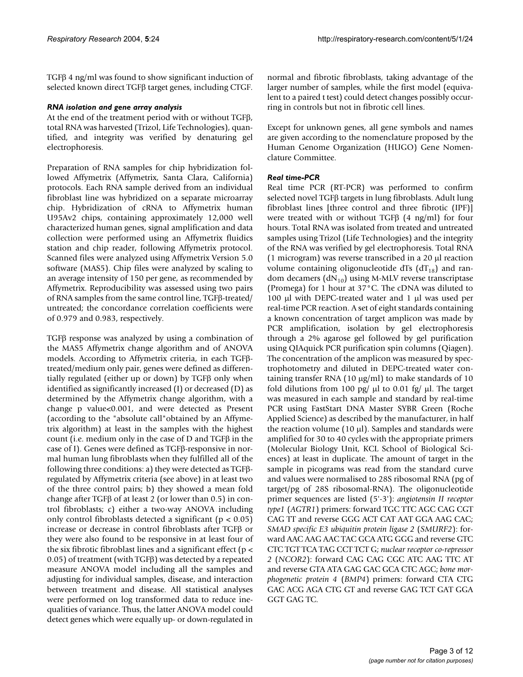TGFβ 4 ng/ml was found to show significant induction of selected known direct TGFβ target genes, including CTGF.

#### *RNA isolation and gene array analysis*

At the end of the treatment period with or without TGFβ, total RNA was harvested (Trizol, Life Technologies), quantified, and integrity was verified by denaturing gel electrophoresis.

Preparation of RNA samples for chip hybridization followed Affymetrix (Affymetrix, Santa Clara, California) protocols. Each RNA sample derived from an individual fibroblast line was hybridized on a separate microarray chip. Hybridization of cRNA to Affymetrix human U95Av2 chips, containing approximately 12,000 well characterized human genes, signal amplification and data collection were performed using an Affymetrix fluidics station and chip reader, following Affymetrix protocol. Scanned files were analyzed using Affymetrix Version 5.0 software (MAS5). Chip files were analyzed by scaling to an average intensity of 150 per gene, as recommended by Affymetrix. Reproducibility was assessed using two pairs of RNA samples from the same control line, TGFβ-treated/ untreated; the concordance correlation coefficients were of 0.979 and 0.983, respectively.

TGFβ response was analyzed by using a combination of the MAS5 Affymetrix change algorithm and of ANOVA models. According to Affymetrix criteria, in each TGFβtreated/medium only pair, genes were defined as differentially regulated (either up or down) by TGFβ only when identified as significantly increased (I) or decreased (D) as determined by the Affymetrix change algorithm, with a change p value<0.001, and were detected as Present (according to the "absolute call"obtained by an Affymetrix algorithm) at least in the samples with the highest count (i.e. medium only in the case of D and TGFβ in the case of I). Genes were defined as TGFβ-responsive in normal human lung fibroblasts when they fulfilled all of the following three conditions: a) they were detected as TGFβregulated by Affymetrix criteria (see above) in at least two of the three control pairs; b) they showed a mean fold change after TGFβ of at least 2 (or lower than 0.5) in control fibroblasts; c) either a two-way ANOVA including only control fibroblasts detected a significant ( $p < 0.05$ ) increase or decrease in control fibroblasts after TGFβ or they were also found to be responsive in at least four of the six fibrotic fibroblast lines and a significant effect ( $p <$ 0.05) of treatment (with TGFβ) was detected by a repeated measure ANOVA model including all the samples and adjusting for individual samples, disease, and interaction between treatment and disease. All statistical analyses were performed on log transformed data to reduce inequalities of variance. Thus, the latter ANOVA model could detect genes which were equally up- or down-regulated in normal and fibrotic fibroblasts, taking advantage of the larger number of samples, while the first model (equivalent to a paired t test) could detect changes possibly occurring in controls but not in fibrotic cell lines.

Except for unknown genes, all gene symbols and names are given according to the nomenclature proposed by the Human Genome Organization (HUGO) Gene Nomenclature Committee.

#### *Real time-PCR*

Real time PCR (RT-PCR) was performed to confirm selected novel TGFβ targets in lung fibroblasts. Adult lung fibroblast lines [three control and three fibrotic (IPF)] were treated with or without TGF $\beta$  (4 ng/ml) for four hours. Total RNA was isolated from treated and untreated samples using Trizol (Life Technologies) and the integrity of the RNA was verified by gel electrophoresis. Total RNA (1 microgram) was reverse transcribed in a 20 µl reaction volume containing oligonucleotide dTs  $(dT_{18})$  and random decamers  $(dN_{10})$  using M-MLV reverse transcriptase (Promega) for 1 hour at 37°C. The cDNA was diluted to 100 µl with DEPC-treated water and 1 µl was used per real-time PCR reaction. A set of eight standards containing a known concentration of target amplicon was made by PCR amplification, isolation by gel electrophoresis through a 2% agarose gel followed by gel purification using QIAquick PCR purification spin columns (Qiagen). The concentration of the amplicon was measured by spectrophotometry and diluted in DEPC-treated water containing transfer RNA  $(10 \mu g/ml)$  to make standards of 10 fold dilutions from 100 pg/  $\mu$ l to 0.01 fg/  $\mu$ l. The target was measured in each sample and standard by real-time PCR using FastStart DNA Master SYBR Green (Roche Applied Science) as described by the manufacturer, in half the reaction volume  $(10 \mu l)$ . Samples and standards were amplified for 30 to 40 cycles with the appropriate primers (Molecular Biology Unit, KCL School of Biological Sciences) at least in duplicate. The amount of target in the sample in picograms was read from the standard curve and values were normalised to 28S ribosomal RNA (pg of target/pg of 28S ribosomal-RNA). The oligonucleotide primer sequences are listed (5'-3'): *angiotensin II receptor type1* (*AGTR1*) primers: forward TGC TTC AGC CAG CGT CAG TT and reverse GGG ACT CAT AAT GGA AAG CAC; *SMAD specific E3 ubiquitin protein ligase 2* (*SMURF2*): forward AAC AAG AAC TAC GCA ATG GGG and reverse GTC CTC TGT TCA TAG CCT TCT G; *nuclear receptor co-repressor 2* (*NCOR2*): forward CAG CAG CGC ATC AAG TTC AT and reverse GTA ATA GAG GAC GCA CTC AGC; *bone morphogenetic protein 4* (*BMP4*) primers: forward CTA CTG GAC ACG AGA CTG GT and reverse GAG TCT GAT GGA GGT GAG TC.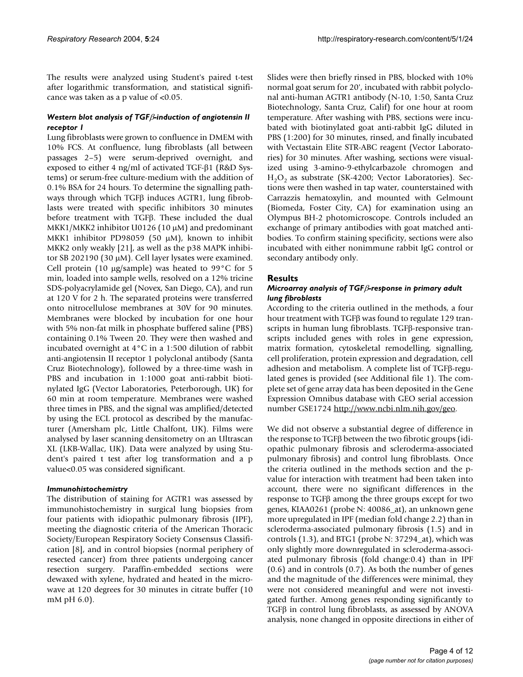The results were analyzed using Student's paired t-test after logarithmic transformation, and statistical significance was taken as a p value of <0.05.

### *Western blot analysis of TGF*β*-induction of angiotensin II receptor 1*

Lung fibroblasts were grown to confluence in DMEM with 10% FCS. At confluence, lung fibroblasts (all between passages 2–5) were serum-deprived overnight, and exposed to either 4 ng/ml of activated TGF-β1 (R&D Systems) or serum-free culture-medium with the addition of 0.1% BSA for 24 hours. To determine the signalling pathways through which TGFβ induces AGTR1, lung fibroblasts were treated with specific inhibitors 30 minutes before treatment with TGFβ. These included the dual MKK1/MKK2 inhibitor U0126 (10 µM) and predominant MKK1 inhibitor PD98059 (50 µM), known to inhibit MKK2 only weakly [21], as well as the p38 MAPK inhibitor SB 202190 (30 µM). Cell layer lysates were examined. Cell protein (10  $\mu$ g/sample) was heated to 99 $\degree$ C for 5 min, loaded into sample wells, resolved on a 12% tricine SDS-polyacrylamide gel (Novex, San Diego, CA), and run at 120 V for 2 h. The separated proteins were transferred onto nitrocellulose membranes at 30V for 90 minutes. Membranes were blocked by incubation for one hour with 5% non-fat milk in phosphate buffered saline (PBS) containing 0.1% Tween 20. They were then washed and incubated overnight at 4°C in a 1:500 dilution of rabbit anti-angiotensin II receptor 1 polyclonal antibody (Santa Cruz Biotechnology), followed by a three-time wash in PBS and incubation in 1:1000 goat anti-rabbit biotinylated IgG (Vector Laboratories, Peterborough, UK) for 60 min at room temperature. Membranes were washed three times in PBS, and the signal was amplified/detected by using the ECL protocol as described by the manufacturer (Amersham plc, Little Chalfont, UK). Films were analysed by laser scanning densitometry on an Ultrascan XL (LKB-Wallac, UK). Data were analyzed by using Student's paired t test after log transformation and a p value<0.05 was considered significant.

### *Immunohistochemistry*

The distribution of staining for AGTR1 was assessed by immunohistochemistry in surgical lung biopsies from four patients with idiopathic pulmonary fibrosis (IPF), meeting the diagnostic criteria of the American Thoracic Society/European Respiratory Society Consensus Classification [8], and in control biopsies (normal periphery of resected cancer) from three patients undergoing cancer resection surgery. Paraffin-embedded sections were dewaxed with xylene, hydrated and heated in the microwave at 120 degrees for 30 minutes in citrate buffer (10 mM pH 6.0).

Slides were then briefly rinsed in PBS, blocked with 10% normal goat serum for 20', incubated with rabbit polyclonal anti-human AGTR1 antibody (N-10, 1:50, Santa Cruz Biotechnology, Santa Cruz, Calif) for one hour at room temperature. After washing with PBS, sections were incubated with biotinylated goat anti-rabbit IgG diluted in PBS (1:200) for 30 minutes, rinsed, and finally incubated with Vectastain Elite STR-ABC reagent (Vector Laboratories) for 30 minutes. After washing, sections were visualized using 3-amino-9-ethylcarbazole chromogen and  $H_2O_2$  as substrate (SK-4200; Vector Laboratories). Sections were then washed in tap water, counterstained with Carrazzis hematoxylin, and mounted with Gelmount (Biomeda, Foster City, CA) for examination using an Olympus BH-2 photomicroscope. Controls included an exchange of primary antibodies with goat matched antibodies. To confirm staining specificity, sections were also incubated with either nonimmune rabbit IgG control or secondary antibody only.

## **Results**

### *Microarray analysis of TGF*β*-response in primary adult lung fibroblasts*

According to the criteria outlined in the methods, a four hour treatment with TGFβ was found to regulate 129 transcripts in human lung fibroblasts. TGFβ-responsive transcripts included genes with roles in gene expression, matrix formation, cytoskeletal remodelling, signalling, cell proliferation, protein expression and degradation, cell adhesion and metabolism. A complete list of TGFβ-regulated genes is provided (see Additional file 1). The complete set of gene array data has been deposited in the Gene Expression Omnibus database with GEO serial accession number GSE1724 <http://www.ncbi.nlm.nih.gov/geo>.

We did not observe a substantial degree of difference in the response to TGFβ between the two fibrotic groups (idiopathic pulmonary fibrosis and scleroderma-associated pulmonary fibrosis) and control lung fibroblasts. Once the criteria outlined in the methods section and the pvalue for interaction with treatment had been taken into account, there were no significant differences in the response to TGFβ among the three groups except for two genes, KIAA0261 (probe N: 40086\_at), an unknown gene more upregulated in IPF (median fold change 2.2) than in scleroderma-associated pulmonary fibrosis (1.5) and in controls (1.3), and BTG1 (probe N: 37294\_at), which was only slightly more downregulated in scleroderma-associated pulmonary fibrosis (fold change:0.4) than in IPF (0.6) and in controls (0.7). As both the number of genes and the magnitude of the differences were minimal, they were not considered meaningful and were not investigated further. Among genes responding significantly to TGFβ in control lung fibroblasts, as assessed by ANOVA analysis, none changed in opposite directions in either of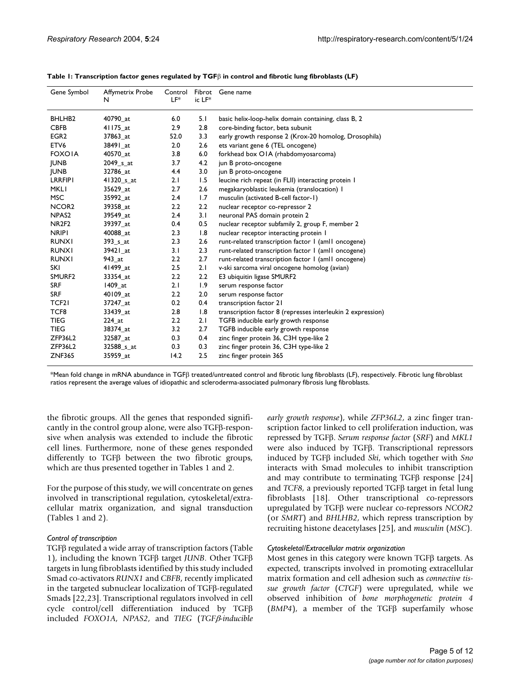| Gene Symbol        | Affymetrix Probe<br>N | Control<br>LF* | ic $LI^*$ | Fibrot Gene name                                            |  |
|--------------------|-----------------------|----------------|-----------|-------------------------------------------------------------|--|
| BHLHB <sub>2</sub> | 40790_at              | 6.0            | 5.1       | basic helix-loop-helix domain containing, class B, 2        |  |
| <b>CBFB</b>        | 41175 at              | 2.9            | 2.8       | core-binding factor, beta subunit                           |  |
| EGR <sub>2</sub>   | 37863_at              | 52.0           | 3.3       | early growth response 2 (Krox-20 homolog, Drosophila)       |  |
| ETV <sub>6</sub>   | 38491 at              | 2.0            | 2.6       | ets variant gene 6 (TEL oncogene)                           |  |
| <b>FOXOIA</b>      | 40570 at              | 3.8            | 6.0       | forkhead box OIA (rhabdomyosarcoma)                         |  |
| <b>JUNB</b>        | 2049_s_at             | 3.7            | 4.2       | jun B proto-oncogene                                        |  |
| <b>JUNB</b>        | 32786_at              | 4.4            | 3.0       | jun B proto-oncogene                                        |  |
| <b>LRRFIPI</b>     | 41320 s at            | 2.1            | 1.5       | leucine rich repeat (in FLII) interacting protein I         |  |
| <b>MKLI</b>        | 35629 at              | 2.7            | 2.6       | megakaryoblastic leukemia (translocation) I                 |  |
| <b>MSC</b>         | 35992 at              | 2.4            | 1.7       | musculin (activated B-cell factor-1)                        |  |
| NCOR <sub>2</sub>  | 39358 at              | 2.2            | 2.2       | nuclear receptor co-repressor 2                             |  |
| NPAS <sub>2</sub>  | 39549_at              | 2.4            | 3.1       | neuronal PAS domain protein 2                               |  |
| NR <sub>2F2</sub>  | 39397 at              | 0.4            | 0.5       | nuclear receptor subfamily 2, group F, member 2             |  |
| <b>NRIPI</b>       | 40088 at              | 2.3            | 1.8       | nuclear receptor interacting protein I                      |  |
| <b>RUNXI</b>       | 393_s_at              | 2.3            | 2.6       | runt-related transcription factor I (amII oncogene)         |  |
| <b>RUNXI</b>       | 39421 at              | 3.1            | 2.3       | runt-related transcription factor I (amlI oncogene)         |  |
| <b>RUNXI</b>       | 943_at                | 2.2            | 2.7       | runt-related transcription factor I (aml1 oncogene)         |  |
| SKI                | 41499_at              | 2.5            | 2.1       | v-ski sarcoma viral oncogene homolog (avian)                |  |
| SMURF <sub>2</sub> | 33354 at              | 2.2            | 2.2       | E3 ubiquitin ligase SMURF2                                  |  |
| <b>SRF</b>         | 1409 at               | 2.1            | 1.9       | serum response factor                                       |  |
| <b>SRF</b>         | 40109 at              | 2.2            | 2.0       | serum response factor                                       |  |
| TCF <sub>21</sub>  | 37247 at              | 0.2            | 0.4       | transcription factor 21                                     |  |
| TCF8               | 33439_at              | 2.8            | 1.8       | transcription factor 8 (represses interleukin 2 expression) |  |
| <b>TIEG</b>        | $224$ _at             | 2.2            | 2.1       | TGFB inducible early growth response                        |  |
| <b>TIEG</b>        | 38374 at              | 3.2            | 2.7       | TGFB inducible early growth response                        |  |
| ZFP36L2            | 32587_at              | 0.3            | 0.4       | zinc finger protein 36, C3H type-like 2                     |  |
| ZFP36L2            | 32588 s at            | 0.3            | 0.3       | zinc finger protein 36, C3H type-like 2                     |  |
| <b>ZNF365</b>      | 35959 at              | 14.2           | 2.5       | zinc finger protein 365                                     |  |

<span id="page-4-0"></span>**Table 1: Transcription factor genes regulated by TGF**β **in control and fibrotic lung fibroblasts (LF)**

\*Mean fold change in mRNA abundance in TGFβ treated/untreated control and fibrotic lung fibroblasts (LF), respectively. Fibrotic lung fibroblast ratios represent the average values of idiopathic and scleroderma-associated pulmonary fibrosis lung fibroblasts.

the fibrotic groups. All the genes that responded significantly in the control group alone, were also TGFβ-responsive when analysis was extended to include the fibrotic cell lines. Furthermore, none of these genes responded differently to TGFβ between the two fibrotic groups, which are thus presented together in Tables [1](#page-4-0) and 2.

For the purpose of this study, we will concentrate on genes involved in transcriptional regulation, cytoskeletal/extracellular matrix organization, and signal transduction (Tables [1](#page-4-0) and 2).

### *Control of transcription*

TGFβ regulated a wide array of transcription factors (Table [1\)](#page-4-0), including the known TGFβ target *JUNB*. Other TGFβ targets in lung fibroblasts identified by this study included Smad co-activators *RUNX1* and *CBFB*, recently implicated in the targeted subnuclear localization of TGFβ-regulated Smads [22,23]. Transcriptional regulators involved in cell cycle control/cell differentiation induced by TGFβ included *FOXO1A*, *NPAS2*, and *TIEG* (*TGF*β*-inducible* *early growth response*), while *ZFP36L2*, a zinc finger transcription factor linked to cell proliferation induction, was repressed by TGFβ. *Serum response factor* (*SRF*) and *MKL1* were also induced by TGFβ. Transcriptional repressors induced by TGFβ included *Ski*, which together with *Sno* interacts with Smad molecules to inhibit transcription and may contribute to terminating TGFβ response [24] and *TCF8*, a previously reported TGFβ target in fetal lung fibroblasts [18]. Other transcriptional co-repressors upregulated by TGFβ were nuclear co-repressors *NCOR2* (or *SMRT*) and *BHLHB2*, which repress transcription by recruiting histone deacetylases [25], and *musculin* (*MSC*).

### *Cytoskeletal/Extracellular matrix organization*

Most genes in this category were known TGFβ targets. As expected, transcripts involved in promoting extracellular matrix formation and cell adhesion such as *connective tissue growth factor* (*CTGF*) were upregulated, while we observed inhibition of *bone morphogenetic protein 4* (*BMP4*), a member of the TGFβ superfamily whose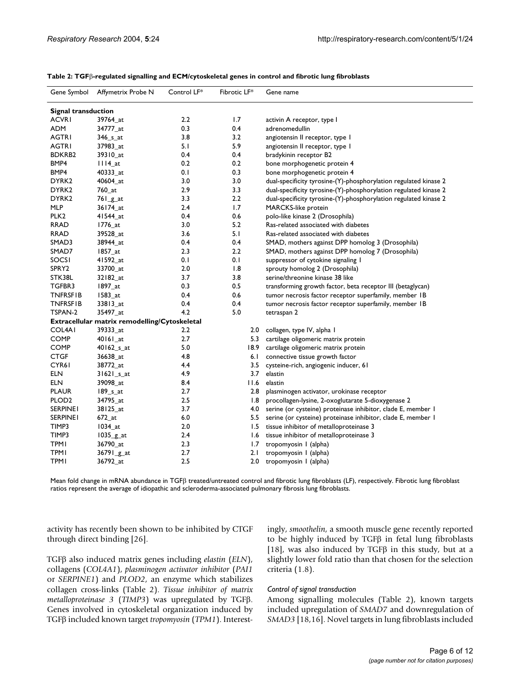| Gene Symbol                                   | Affymetrix Probe N      | Control LF* | Fibrotic LF*     | Gene name                                                        |  |  |  |  |
|-----------------------------------------------|-------------------------|-------------|------------------|------------------------------------------------------------------|--|--|--|--|
| <b>Signal transduction</b>                    |                         |             |                  |                                                                  |  |  |  |  |
| <b>ACVRI</b>                                  | 39764_at                | 2.2         | 1.7              | activin A receptor, type I                                       |  |  |  |  |
| ADM                                           | 34777_at                | 0.3         | 0.4              | adrenomedullin                                                   |  |  |  |  |
| <b>AGTRI</b>                                  | 346_s_at                | 3.8         | 3.2              | angiotensin II receptor, type I                                  |  |  |  |  |
| <b>AGTRI</b>                                  | 37983_at                | 5.1         | 5.9              | angiotensin II receptor, type I                                  |  |  |  |  |
| <b>BDKRB2</b>                                 | 39310_at                | 0.4         | 0.4              | bradykinin receptor B2                                           |  |  |  |  |
| BMP4                                          | $1114$ <sub>_at</sub>   | 0.2         | 0.2              | bone morphogenetic protein 4                                     |  |  |  |  |
| BMP4                                          | 40333_at                | 0.I         | 0.3              | bone morphogenetic protein 4                                     |  |  |  |  |
| DYRK <sub>2</sub>                             | 40604_at                | 3.0         | 3.0              | dual-specificity tyrosine-(Y)-phosphorylation regulated kinase 2 |  |  |  |  |
| DYRK <sub>2</sub>                             | 760_at                  | 2.9         | 3.3              | dual-specificity tyrosine-(Y)-phosphorylation regulated kinase 2 |  |  |  |  |
| DYRK <sub>2</sub>                             | $761$ $g$ <sub>at</sub> | 3.3         | $2.2\phantom{0}$ | dual-specificity tyrosine-(Y)-phosphorylation regulated kinase 2 |  |  |  |  |
| <b>MLP</b>                                    | 36174 at                | 2.4         | 1.7              | <b>MARCKS-like protein</b>                                       |  |  |  |  |
| PLK <sub>2</sub>                              | 41544_at                | 0.4         | 0.6              | polo-like kinase 2 (Drosophila)                                  |  |  |  |  |
| RRAD                                          | 1776_at                 | 3.0         | 5.2              | Ras-related associated with diabetes                             |  |  |  |  |
| <b>RRAD</b>                                   | 39528 at                | 3.6         | 5.1              | Ras-related associated with diabetes                             |  |  |  |  |
| SMAD3                                         | 38944_at                | 0.4         | 0.4              | SMAD, mothers against DPP homolog 3 (Drosophila)                 |  |  |  |  |
| SMAD7                                         | 1857_at                 | 2.3         | 2.2              | SMAD, mothers against DPP homolog 7 (Drosophila)                 |  |  |  |  |
| SOCSI                                         | 41592_at                | 0.1         | 0. I             | suppressor of cytokine signaling I                               |  |  |  |  |
| SPRY <sub>2</sub>                             | 33700_at                | 2.0         | 1.8              | sprouty homolog 2 (Drosophila)                                   |  |  |  |  |
| STK38L                                        | 32182_at                | 3.7         | 3.8              | serine/threonine kinase 38 like                                  |  |  |  |  |
| TGFBR3                                        | 1897_at                 | 0.3         | 0.5              | transforming growth factor, beta receptor III (betaglycan)       |  |  |  |  |
| <b>TNFRSFIB</b>                               | 1583_at                 | 0.4         | 0.6              | tumor necrosis factor receptor superfamily, member IB            |  |  |  |  |
| <b>TNFRSFIB</b>                               | 33813_at                | 0.4         | 0.4              | tumor necrosis factor receptor superfamily, member IB            |  |  |  |  |
| TSPAN-2                                       | 35497_at                | 4.2         | 5.0              | tetraspan 2                                                      |  |  |  |  |
| Extracellular matrix remodelling/Cytoskeletal |                         |             |                  |                                                                  |  |  |  |  |
| COL4AI                                        | 39333_at                | 2.2         | 2.0              | collagen, type IV, alpha I                                       |  |  |  |  |
| <b>COMP</b>                                   | 40161_at                | 2.7         | 5.3              | cartilage oligomeric matrix protein                              |  |  |  |  |
| <b>COMP</b>                                   | $40162$ _s_at           | 5.0         | 18.9             | cartilage oligomeric matrix protein                              |  |  |  |  |
| <b>CTGF</b>                                   | 36638_at                | 4.8         | 6.1              | connective tissue growth factor                                  |  |  |  |  |
| CYR <sub>6</sub> 1                            | 38772 at                | 4.4         | 3.5              | cysteine-rich, angiogenic inducer, 61                            |  |  |  |  |
| ELN                                           | $31621$ s at            | 4.9         | 3.7              | elastin                                                          |  |  |  |  |
| ELN                                           | 39098_at                | 8.4         | 11.6             | elastin                                                          |  |  |  |  |
| <b>PLAUR</b>                                  | $189$ _s_at             | 2.7         | 2.8              | plasminogen activator, urokinase receptor                        |  |  |  |  |
| PLOD <sub>2</sub>                             | 34795_at                | 2.5         | 1.8              | procollagen-lysine, 2-oxoglutarate 5-dioxygenase 2               |  |  |  |  |
| <b>SERPINEI</b>                               | 38125_at                | 3.7         | 4.0              | serine (or cysteine) proteinase inhibitor, clade E, member I     |  |  |  |  |
| <b>SERPINEI</b>                               | 672_at                  | 6.0         | 5.5              | serine (or cysteine) proteinase inhibitor, clade E, member I     |  |  |  |  |
| TIMP3                                         | $1034$ <sub>_at</sub>   | 2.0         | 1.5              | tissue inhibitor of metalloproteinase 3                          |  |  |  |  |
| TIMP3                                         | $1035$ g at             | 2.4         | 1.6              | tissue inhibitor of metalloproteinase 3                          |  |  |  |  |
| TPMI                                          | 36790_at                | 2.3         | 1.7              | tropomyosin I (alpha)                                            |  |  |  |  |
| TPMI                                          | 36791_g_at              | 2.7         | 2.1              | tropomyosin I (alpha)                                            |  |  |  |  |
| <b>TPMI</b>                                   | 36792_at                | 2.5         | 2.0              | tropomyosin I (alpha)                                            |  |  |  |  |

#### **Table 2: TGF**β**-regulated signalling and ECM/cytoskeletal genes in control and fibrotic lung fibroblasts**

Mean fold change in mRNA abundance in TGFβ treated/untreated control and fibrotic lung fibroblasts (LF), respectively. Fibrotic lung fibroblast ratios represent the average of idiopathic and scleroderma-associated pulmonary fibrosis lung fibroblasts.

activity has recently been shown to be inhibited by CTGF through direct binding [26].

TGFβ also induced matrix genes including *elastin* (*ELN*), collagens (*COL4A1*), *plasminogen activator inhibitor* (*PAI1* or *SERPINE1*) and *PLOD2*, an enzyme which stabilizes collagen cross-links (Table 2). *Tissue inhibitor of matrix metalloproteinase 3* (*TIMP3*) was upregulated by TGFβ. Genes involved in cytoskeletal organization induced by TGFβ included known target *tropomyosin* (*TPM1*). Interestingly, *smoothelin*, a smooth muscle gene recently reported to be highly induced by TGFβ in fetal lung fibroblasts [18], was also induced by TGFβ in this study, but at a slightly lower fold ratio than that chosen for the selection criteria (1.8).

#### *Control of signal transduction*

Among signalling molecules (Table 2), known targets included upregulation of *SMAD7* and downregulation of *SMAD3* [18,16]. Novel targets in lung fibroblasts included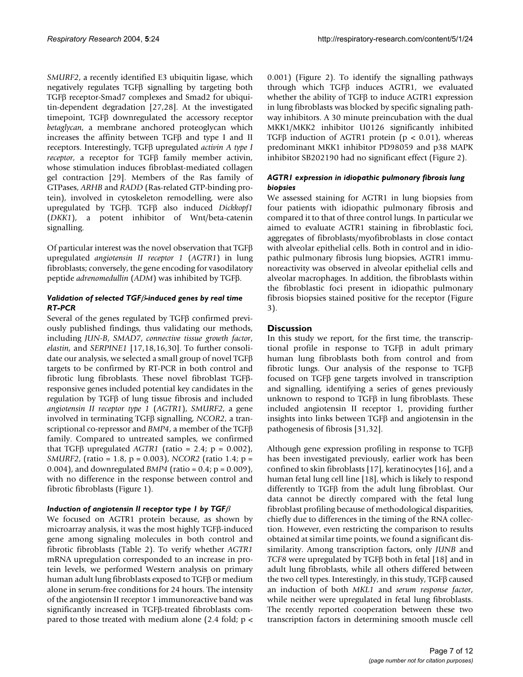*SMURF2*, a recently identified E3 ubiquitin ligase, which negatively regulates TGFβ signalling by targeting both TGFβ receptor-Smad7 complexes and Smad2 for ubiquitin-dependent degradation [27,28]. At the investigated timepoint, TGFβ downregulated the accessory receptor *betaglycan*, a membrane anchored proteoglycan which increases the affinity between TGFβ and type I and II receptors. Interestingly, TGFβ upregulated *activin A type I receptor*, a receptor for TGFβ family member activin, whose stimulation induces fibroblast-mediated collagen gel contraction [29]. Members of the Ras family of GTPases, *ARHB* and *RADD* (Ras-related GTP-binding protein), involved in cytoskeleton remodelling, were also upregulated by TGFβ. TGFβ also induced *Dickkopf1* (*DKK1*), a potent inhibitor of Wnt/beta-catenin signalling.

Of particular interest was the novel observation that TGFβ upregulated *angiotensin II receptor 1* (*AGTR1*) in lung fibroblasts; conversely, the gene encoding for vasodilatory peptide *adrenomedullin* (*ADM*) was inhibited by TGFβ.

### *Validation of selected TGF*β*-induced genes by real time RT-PCR*

Several of the genes regulated by TGFβ confirmed previously published findings, thus validating our methods, including *JUN-B*, *SMAD7*, *connective tissue growth factor*, *elastin*, and *SERPINE1* [17,18,16,30]. To further consolidate our analysis, we selected a small group of novel TGFβ targets to be confirmed by RT-PCR in both control and fibrotic lung fibroblasts. These novel fibroblast TGFβresponsive genes included potential key candidates in the regulation by TGFβ of lung tissue fibrosis and included *angiotensin II receptor type 1* (*AGTR1*), *SMURF2*, a gene involved in terminating TGFβ signalling, *NCOR2*, a transcriptional co-repressor and *BMP4*, a member of the TGFβ family. Compared to untreated samples, we confirmed that TGF<sub>β</sub> upregulated *AGTR1* (ratio = 2.4;  $p = 0.002$ ), *SMURF2*, (ratio = 1.8, p = 0.003), *NCOR2* (ratio 1.4; p = 0.004), and downregulated *BMP4* (ratio = 0.4; p = 0.009), with no difference in the response between control and fibrotic fibroblasts (Figure [1](#page-7-0)).

### *Induction of angiotensin II receptor type 1 by TGF*β

We focused on AGTR1 protein because, as shown by microarray analysis, it was the most highly TGFβ-induced gene among signaling molecules in both control and fibrotic fibroblasts (Table 2). To verify whether *AGTR1* mRNA upregulation corresponded to an increase in protein levels, we performed Western analysis on primary human adult lung fibroblasts exposed to TGFβ or medium alone in serum-free conditions for 24 hours. The intensity of the angiotensin II receptor 1 immunoreactive band was significantly increased in TGFβ-treated fibroblasts compared to those treated with medium alone (2.4 fold;  $p <$  0.001) (Figure [2](#page-8-0)). To identify the signalling pathways through which TGFβ induces AGTR1, we evaluated whether the ability of TGFβ to induce AGTR1 expression in lung fibroblasts was blocked by specific signaling pathway inhibitors. A 30 minute preincubation with the dual MKK1/MKK2 inhibitor U0126 significantly inhibited TGFβ induction of AGTR1 protein (p < 0.01), whereas predominant MKK1 inhibitor PD98059 and p38 MAPK inhibitor SB202190 had no significant effect (Figure [2](#page-8-0)).

### *AGTR1 expression in idiopathic pulmonary fibrosis lung biopsies*

We assessed staining for AGTR1 in lung biopsies from four patients with idiopathic pulmonary fibrosis and compared it to that of three control lungs. In particular we aimed to evaluate AGTR1 staining in fibroblastic foci, aggregates of fibroblasts/myofibroblasts in close contact with alveolar epithelial cells. Both in control and in idiopathic pulmonary fibrosis lung biopsies, AGTR1 immunoreactivity was observed in alveolar epithelial cells and alveolar macrophages. In addition, the fibroblasts within the fibroblastic foci present in idiopathic pulmonary fibrosis biopsies stained positive for the receptor (Figure [3](#page-9-0)).

## **Discussion**

In this study we report, for the first time, the transcriptional profile in response to TGFβ in adult primary human lung fibroblasts both from control and from fibrotic lungs. Our analysis of the response to TGFβ focused on TGFβ gene targets involved in transcription and signalling, identifying a series of genes previously unknown to respond to TGFβ in lung fibroblasts. These included angiotensin II receptor 1, providing further insights into links between TGFβ and angiotensin in the pathogenesis of fibrosis [31,32].

Although gene expression profiling in response to TGFβ has been investigated previously, earlier work has been confined to skin fibroblasts [17], keratinocytes [16], and a human fetal lung cell line [18], which is likely to respond differently to TGFβ from the adult lung fibroblast. Our data cannot be directly compared with the fetal lung fibroblast profiling because of methodological disparities, chiefly due to differences in the timing of the RNA collection. However, even restricting the comparison to results obtained at similar time points, we found a significant dissimilarity. Among transcription factors, only *JUNB* and *TCF8* were upregulated by TGFβ both in fetal [18] and in adult lung fibroblasts, while all others differed between the two cell types. Interestingly, in this study, TGFβ caused an induction of both *MKL1* and *serum response factor*, while neither were upregulated in fetal lung fibroblasts. The recently reported cooperation between these two transcription factors in determining smooth muscle cell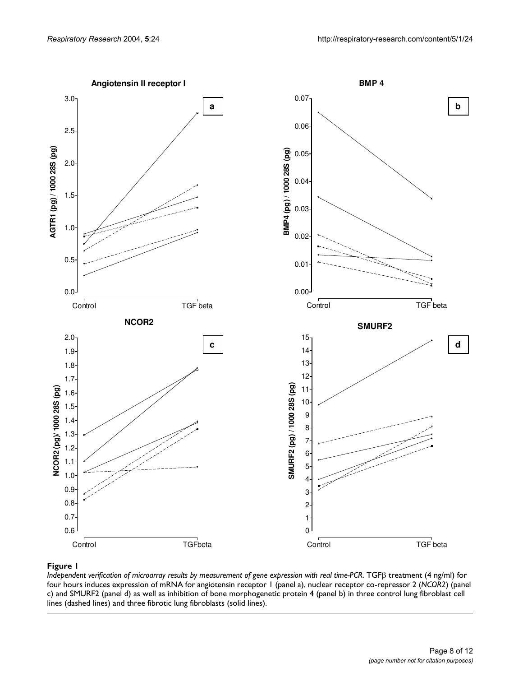<span id="page-7-0"></span>

### Independent verification of microa **Figure 1** rray results by measurement of gene expression with real time-PCR

*Independent verification of microarray results by measurement of gene expression with real time-PCR*. TGFβ treatment (4 ng/ml) for four hours induces expression of mRNA for angiotensin receptor 1 (panel a), nuclear receptor co-repressor 2 (*NCOR2*) (panel c) and SMURF2 (panel d) as well as inhibition of bone morphogenetic protein 4 (panel b) in three control lung fibroblast cell lines (dashed lines) and three fibrotic lung fibroblasts (solid lines).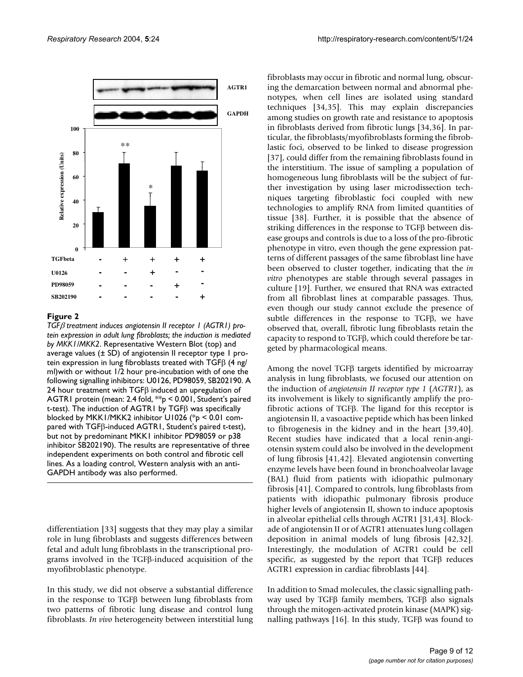<span id="page-8-0"></span>

### Figure 2

*TGF*β *treatment induces angiotensin II receptor 1 (AGTR1) protein expression in adult lung fibroblasts; the induction is mediated by MKK1/MKK2*. Representative Western Blot (top) and average values  $(\pm$  SD) of angiotensin II receptor type 1 protein expression in lung fibroblasts treated with TGFβ (4 ng/ ml)with or without 1/2 hour pre-incubation with of one the following signalling inhibitors: U0126, PD98059, SB202190. A 24 hour treatment with TGFβ induced an upregulation of AGTR1 protein (mean: 2.4 fold, \*\*p < 0.001, Student's paired t-test). The induction of AGTR1 by TGFβ was specifically blocked by MKK1/MKK2 inhibitor U1026 (\*p < 0.01 compared with TGFβ-induced AGTR1, Student's paired t-test), but not by predominant MKK1 inhibitor PD98059 or p38 inhibitor SB202190). The results are representative of three independent experiments on both control and fibrotic cell lines. As a loading control, Western analysis with an anti-GAPDH antibody was also performed.

differentiation [33] suggests that they may play a similar role in lung fibroblasts and suggests differences between fetal and adult lung fibroblasts in the transcriptional programs involved in the TGFβ-induced acquisition of the myofibroblastic phenotype.

In this study, we did not observe a substantial difference in the response to TGFβ between lung fibroblasts from two patterns of fibrotic lung disease and control lung fibroblasts. *In vivo* heterogeneity between interstitial lung fibroblasts may occur in fibrotic and normal lung, obscuring the demarcation between normal and abnormal phenotypes, when cell lines are isolated using standard techniques [34,35]. This may explain discrepancies among studies on growth rate and resistance to apoptosis in fibroblasts derived from fibrotic lungs [34,36]. In particular, the fibroblasts/myofibroblasts forming the fibroblastic foci, observed to be linked to disease progression [37], could differ from the remaining fibroblasts found in the interstitium. The issue of sampling a population of homogeneous lung fibroblasts will be the subject of further investigation by using laser microdissection techniques targeting fibroblastic foci coupled with new technologies to amplify RNA from limited quantities of tissue [38]. Further, it is possible that the absence of striking differences in the response to TGFβ between disease groups and controls is due to a loss of the pro-fibrotic phenotype in vitro, even though the gene expression patterns of different passages of the same fibroblast line have been observed to cluster together, indicating that the *in vitro* phenotypes are stable through several passages in culture [19]. Further, we ensured that RNA was extracted from all fibroblast lines at comparable passages. Thus, even though our study cannot exclude the presence of subtle differences in the response to TGFβ, we have observed that, overall, fibrotic lung fibroblasts retain the capacity to respond to TGFβ, which could therefore be targeted by pharmacological means.

Among the novel TGFβ targets identified by microarray analysis in lung fibroblasts, we focused our attention on the induction of *angiotensin II receptor type 1* (*AGTR1*), as its involvement is likely to significantly amplify the profibrotic actions of TGFβ. The ligand for this receptor is angiotensin II, a vasoactive peptide which has been linked to fibrogenesis in the kidney and in the heart [39,40]. Recent studies have indicated that a local renin-angiotensin system could also be involved in the development of lung fibrosis [41,42]. Elevated angiotensin converting enzyme levels have been found in bronchoalveolar lavage (BAL) fluid from patients with idiopathic pulmonary fibrosis [41]. Compared to controls, lung fibroblasts from patients with idiopathic pulmonary fibrosis produce higher levels of angiotensin II, shown to induce apoptosis in alveolar epithelial cells through AGTR1 [31,43]. Blockade of angiotensin II or of AGTR1 attenuates lung collagen deposition in animal models of lung fibrosis [42,32]. Interestingly, the modulation of AGTR1 could be cell specific, as suggested by the report that TGFβ reduces AGTR1 expression in cardiac fibroblasts [44].

In addition to Smad molecules, the classic signalling pathway used by TGFβ family members, TGFβ also signals through the mitogen-activated protein kinase (MAPK) signalling pathways [16]. In this study, TGFβ was found to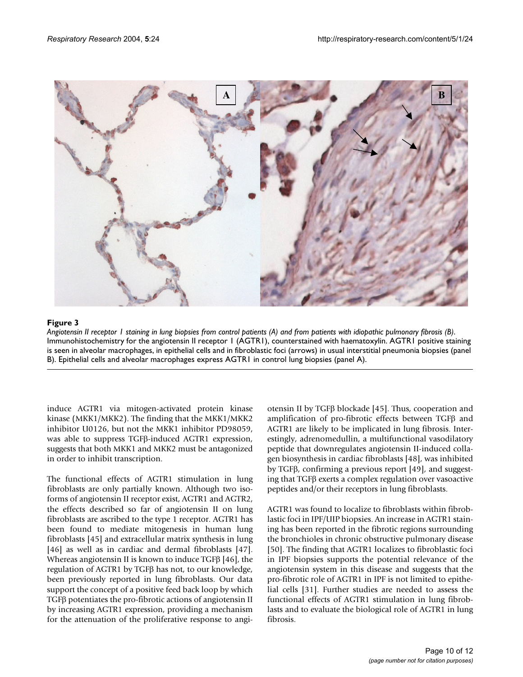<span id="page-9-0"></span>

### Angiotensin II receptor 1 staining in lung sis (B) **Figure 3** biopsies from control patients (A) and from patients with idiopathic pulmonary fibro-

*Angiotensin II receptor 1 staining in lung biopsies from control patients (A) and from patients with idiopathic pulmonary fibrosis (B)*. Immunohistochemistry for the angiotensin II receptor 1 (AGTR1), counterstained with haematoxylin. AGTR1 positive staining is seen in alveolar macrophages, in epithelial cells and in fibroblastic foci (arrows) in usual interstitial pneumonia biopsies (panel B). Epithelial cells and alveolar macrophages express AGTR1 in control lung biopsies (panel A).

induce AGTR1 via mitogen-activated protein kinase kinase (MKK1/MKK2). The finding that the MKK1/MKK2 inhibitor U0126, but not the MKK1 inhibitor PD98059, was able to suppress TGFβ-induced AGTR1 expression, suggests that both MKK1 and MKK2 must be antagonized in order to inhibit transcription.

The functional effects of AGTR1 stimulation in lung fibroblasts are only partially known. Although two isoforms of angiotensin II receptor exist, AGTR1 and AGTR2, the effects described so far of angiotensin II on lung fibroblasts are ascribed to the type 1 receptor. AGTR1 has been found to mediate mitogenesis in human lung fibroblasts [45] and extracellular matrix synthesis in lung [46] as well as in cardiac and dermal fibroblasts [47]. Whereas angiotensin II is known to induce TGFβ [46], the regulation of AGTR1 by TGFβ has not, to our knowledge, been previously reported in lung fibroblasts. Our data support the concept of a positive feed back loop by which TGFβ potentiates the pro-fibrotic actions of angiotensin II by increasing AGTR1 expression, providing a mechanism for the attenuation of the proliferative response to angiotensin II by TGFβ blockade [45]. Thus, cooperation and amplification of pro-fibrotic effects between TGFβ and AGTR1 are likely to be implicated in lung fibrosis. Interestingly, adrenomedullin, a multifunctional vasodilatory peptide that downregulates angiotensin II-induced collagen biosynthesis in cardiac fibroblasts [48], was inhibited by TGFβ, confirming a previous report [49], and suggesting that TGFβ exerts a complex regulation over vasoactive peptides and/or their receptors in lung fibroblasts.

AGTR1 was found to localize to fibroblasts within fibroblastic foci in IPF/UIP biopsies. An increase in AGTR1 staining has been reported in the fibrotic regions surrounding the bronchioles in chronic obstructive pulmonary disease [50]. The finding that AGTR1 localizes to fibroblastic foci in IPF biopsies supports the potential relevance of the angiotensin system in this disease and suggests that the pro-fibrotic role of AGTR1 in IPF is not limited to epithelial cells [31]. Further studies are needed to assess the functional effects of AGTR1 stimulation in lung fibroblasts and to evaluate the biological role of AGTR1 in lung fibrosis.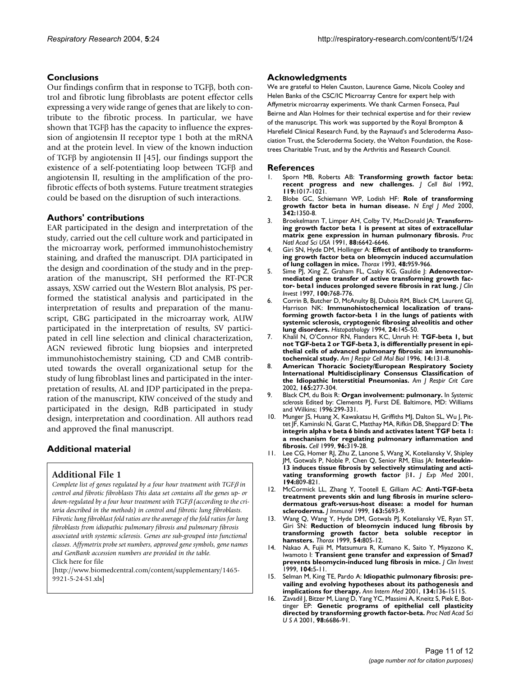### **Conclusions**

Our findings confirm that in response to TGFβ, both control and fibrotic lung fibroblasts are potent effector cells expressing a very wide range of genes that are likely to contribute to the fibrotic process. In particular, we have shown that TGFβ has the capacity to influence the expression of angiotensin II receptor type 1 both at the mRNA and at the protein level. In view of the known induction of TGFβ by angiotensin II [45], our findings support the existence of a self-potentiating loop between TGFβ and angiotensin II, resulting in the amplification of the profibrotic effects of both systems. Future treatment strategies could be based on the disruption of such interactions.

### **Authors' contributions**

EAR participated in the design and interpretation of the study, carried out the cell culture work and participated in the microarray work, performed immunohistochemistry staining, and drafted the manuscript. DJA participated in the design and coordination of the study and in the preparation of the manuscript, SH performed the RT-PCR assays, XSW carried out the Western Blot analysis, PS performed the statistical analysis and participated in the interpretation of results and preparation of the manuscript, GBG participated in the microarray work, AUW participated in the interpretation of results, SV participated in cell line selection and clinical characterization, AGN reviewed fibrotic lung biopsies and interpreted immunohistochemistry staining, CD and CMB contributed towards the overall organizational setup for the study of lung fibroblast lines and participated in the interpretation of results, AL and JDP participated in the preparation of the manuscript, KIW conceived of the study and participated in the design, RdB participated in study design, interpretation and coordination. All authors read and approved the final manuscript.

# **Additional material**

### **Additional File 1**

*Complete list of genes regulated by a four hour treatment with TGF*β *in control and fibrotic fibroblasts This data set contains all the genes up- or down-regulated by a four hour treatment with TGF*β *(according to the criteria described in the methods) in control and fibrotic lung fibroblasts. Fibrotic lung fibroblast fold ratios are the average of the fold ratios for lung fibroblasts from idiopathic pulmonary fibrosis and pulmonary fibrosis associated with systemic sclerosis. Genes are sub-grouped into functional classes. Affymetrix probe set numbers, approved gene symbols, gene names and GenBank accession numbers are provided in the table.* Click here for file

[\[http://www.biomedcentral.com/content/supplementary/1465-](http://www.biomedcentral.com/content/supplementary/1465-9921-5-24-S1.xls) 9921-5-24-S1.xls]

### **Acknowledgments**

We are grateful to Helen Causton, Laurence Game, Nicola Cooley and Helen Banks of the CSC/IC Microarray Centre for expert help with Affymetrix microarray experiments. We thank Carmen Fonseca, Paul Beirne and Alan Holmes for their technical expertise and for their review of the manuscript. This work was supported by the Royal Brompton & Harefield Clinical Research Fund, by the Raynaud's and Scleroderma Association Trust, the Scleroderma Society, the Welton Foundation, the Rosetrees Charitable Trust, and by the Arthritis and Research Council.

#### **References**

- 1. Sporn MB, Roberts AB: **[Transforming growth factor beta:](http://www.ncbi.nlm.nih.gov/entrez/query.fcgi?cmd=Retrieve&db=PubMed&dopt=Abstract&list_uids=1332976) [recent progress and new challenges.](http://www.ncbi.nlm.nih.gov/entrez/query.fcgi?cmd=Retrieve&db=PubMed&dopt=Abstract&list_uids=1332976)** *J Cell Biol* 1992, **119:**1017-1021.
- 2. Blobe GC, Schiemann WP, Lodish HF: **[Role of transforming](http://www.ncbi.nlm.nih.gov/entrez/query.fcgi?cmd=Retrieve&db=PubMed&dopt=Abstract&list_uids=10793168) [growth factor beta in human disease.](http://www.ncbi.nlm.nih.gov/entrez/query.fcgi?cmd=Retrieve&db=PubMed&dopt=Abstract&list_uids=10793168)** *N Engl J Med* 2000, **342:**1350-8.
- 3. Broekelmann T, Limper AH, Colby TV, MacDonald JA: **[Transform](http://www.ncbi.nlm.nih.gov/entrez/query.fcgi?cmd=Retrieve&db=PubMed&dopt=Abstract&list_uids=1862087)[ing growth factor beta 1 is present at sites of extracellular](http://www.ncbi.nlm.nih.gov/entrez/query.fcgi?cmd=Retrieve&db=PubMed&dopt=Abstract&list_uids=1862087) [matrix gene expression in human pulmonary fibrosis.](http://www.ncbi.nlm.nih.gov/entrez/query.fcgi?cmd=Retrieve&db=PubMed&dopt=Abstract&list_uids=1862087)** *Proc Natl Acad Sci USA* 1991, **88:**6642-6646.
- 4. Giri SN, Hyde DM, Hollinger A: **[Effect of antibody to transform](http://www.ncbi.nlm.nih.gov/entrez/query.fcgi?cmd=Retrieve&db=PubMed&dopt=Abstract&list_uids=7504843)[ing growth factor beta on bleomycin induced accumulation](http://www.ncbi.nlm.nih.gov/entrez/query.fcgi?cmd=Retrieve&db=PubMed&dopt=Abstract&list_uids=7504843) [of lung collagen in mice.](http://www.ncbi.nlm.nih.gov/entrez/query.fcgi?cmd=Retrieve&db=PubMed&dopt=Abstract&list_uids=7504843)** *Thorax* 1993, **48:**959-966.
- 5. Sime PJ, Xing Z, Graham FL, Csaky KG, Gauldie J: **[Adenovector](http://www.ncbi.nlm.nih.gov/entrez/query.fcgi?cmd=Retrieve&db=PubMed&dopt=Abstract&list_uids=9259574)[mediated gene transfer of active transforming growth fac](http://www.ncbi.nlm.nih.gov/entrez/query.fcgi?cmd=Retrieve&db=PubMed&dopt=Abstract&list_uids=9259574)[tor- beta1 induces prolonged severe fibrosis in rat lung.](http://www.ncbi.nlm.nih.gov/entrez/query.fcgi?cmd=Retrieve&db=PubMed&dopt=Abstract&list_uids=9259574)** *J Clin Invest* 1997, **100:**768-776.
- 6. Corrin B, Butcher D, McAnulty BJ, Dubois RM, Black CM, Laurent GJ, Harrison NK: **[Immunohistochemical localization of trans](http://www.ncbi.nlm.nih.gov/entrez/query.fcgi?cmd=Retrieve&db=PubMed&dopt=Abstract&list_uids=8181807)[forming growth factor-beta 1 in the lungs of patients with](http://www.ncbi.nlm.nih.gov/entrez/query.fcgi?cmd=Retrieve&db=PubMed&dopt=Abstract&list_uids=8181807) systemic sclerosis, cryptogenic fibrosing alveolitis and other [lung disorders.](http://www.ncbi.nlm.nih.gov/entrez/query.fcgi?cmd=Retrieve&db=PubMed&dopt=Abstract&list_uids=8181807)** *Histopathology* 1994, **24:**145-50.
- 7. Khalil N, O'Connor RN, Flanders KC, Unruh H: **[TGF-beta 1, but](http://www.ncbi.nlm.nih.gov/entrez/query.fcgi?cmd=Retrieve&db=PubMed&dopt=Abstract&list_uids=8630262) not TGF-beta 2 or TGF-beta 3, is differentially present in epi[thelial cells of advanced pulmonary fibrosis: an immunohis](http://www.ncbi.nlm.nih.gov/entrez/query.fcgi?cmd=Retrieve&db=PubMed&dopt=Abstract&list_uids=8630262)[tochemical study.](http://www.ncbi.nlm.nih.gov/entrez/query.fcgi?cmd=Retrieve&db=PubMed&dopt=Abstract&list_uids=8630262)** *Am J Respir Cell Mol Biol* 1996, **14:**131-8.
- 8. **American Thoracic Society/European Respiratory Society International Multidisciplinary Consensus Classification of the Idiopathic Interstitial Pneumonias.** *Am J Respir Crit Care* 2002, **165:**277-304.
- 9. Black CM, du Bois R: **Organ involvement: pulmonary.** In *Systemic sclerosis* Edited by: Clements PJ, Furst DE. Baltimore, MD: Williams and Wilkins; 1996:299-331.
- 10. Munger JS, Huang X, Kawakatsu H, Griffiths MJ, Dalton SL, Wu J, Pittet JF, Kaminski N, Garat C, Matthay MA, Rifkin DB, Sheppard D: **[The](http://www.ncbi.nlm.nih.gov/entrez/query.fcgi?cmd=Retrieve&db=PubMed&dopt=Abstract&list_uids=10025398) [integrin alpha v beta 6 binds and activates latent TGF beta 1:](http://www.ncbi.nlm.nih.gov/entrez/query.fcgi?cmd=Retrieve&db=PubMed&dopt=Abstract&list_uids=10025398) a mechanism for regulating pulmonary inflammation and [fibrosis.](http://www.ncbi.nlm.nih.gov/entrez/query.fcgi?cmd=Retrieve&db=PubMed&dopt=Abstract&list_uids=10025398)** *Cell* 1999, **96:**319-28.
- 11. Lee CG, Homer RJ, Zhu Z, Lanone S, Wang X, Koteliansky V, Shipley JM, Gotwals P, Noble P, Chen Q, Senior RM, Elias JA: **Interleukin-13 induces tissue fibrosis by selectively stimulating and activating transforming growth factor** β**[1.](http://www.ncbi.nlm.nih.gov/entrez/query.fcgi?cmd=Retrieve&db=PubMed&dopt=Abstract&list_uids=11560996)** *J Exp Med* 2001, **194:**809-821.
- 12. McCormick LL, Zhang Y, Tootell E, Gilliam AC: **[Anti-TGF-beta](http://www.ncbi.nlm.nih.gov/entrez/query.fcgi?cmd=Retrieve&db=PubMed&dopt=Abstract&list_uids=10553100) treatment prevents skin and lung fibrosis in murine sclero[dermatous graft-versus-host disease: a model for human](http://www.ncbi.nlm.nih.gov/entrez/query.fcgi?cmd=Retrieve&db=PubMed&dopt=Abstract&list_uids=10553100) [scleroderma.](http://www.ncbi.nlm.nih.gov/entrez/query.fcgi?cmd=Retrieve&db=PubMed&dopt=Abstract&list_uids=10553100)** *J Immunol* 1999, **163:**5693-9.
- 13. Wang Q, Wang Y, Hyde DM, Gotwals PJ, Koteliansky VE, Ryan ST, Giri SN: **[Reduction of bleomycin induced lung fibrosis by](http://www.ncbi.nlm.nih.gov/entrez/query.fcgi?cmd=Retrieve&db=PubMed&dopt=Abstract&list_uids=10456973) [transforming growth factor beta soluble receptor in](http://www.ncbi.nlm.nih.gov/entrez/query.fcgi?cmd=Retrieve&db=PubMed&dopt=Abstract&list_uids=10456973) [hamsters.](http://www.ncbi.nlm.nih.gov/entrez/query.fcgi?cmd=Retrieve&db=PubMed&dopt=Abstract&list_uids=10456973)** *Thorax* 1999, **54:**805-12.
- 14. Nakao A, Fujii M, Matsumura R, Kumano K, Saito Y, Miyazono K, Iwamoto I: **[Transient gene transfer and expression of Smad7](http://www.ncbi.nlm.nih.gov/entrez/query.fcgi?cmd=Retrieve&db=PubMed&dopt=Abstract&list_uids=10393693) [prevents bleomycin-induced lung fibrosis in mice.](http://www.ncbi.nlm.nih.gov/entrez/query.fcgi?cmd=Retrieve&db=PubMed&dopt=Abstract&list_uids=10393693)** *J Clin Invest* 1999, **104:**5-11.
- 15. Selman M, King TE, Pardo A: **[Idiopathic pulmonary fibrosis: pre](http://www.ncbi.nlm.nih.gov/entrez/query.fcgi?cmd=Retrieve&db=PubMed&dopt=Abstract&list_uids=11177318)[vailing and evolving hypotheses about its pathogenesis and](http://www.ncbi.nlm.nih.gov/entrez/query.fcgi?cmd=Retrieve&db=PubMed&dopt=Abstract&list_uids=11177318) [implications for therapy.](http://www.ncbi.nlm.nih.gov/entrez/query.fcgi?cmd=Retrieve&db=PubMed&dopt=Abstract&list_uids=11177318)** *Ann Intern Med* 2001, **134:**136-15115.
- 16. Zavadil J, Bitzer M, Liang D, Yang YC, Massimi A, Kneitz S, Piek E, Bottinger EP: **[Genetic programs of epithelial cell plasticity](http://www.ncbi.nlm.nih.gov/entrez/query.fcgi?cmd=Retrieve&db=PubMed&dopt=Abstract&list_uids=11390996) [directed by transforming growth factor-beta.](http://www.ncbi.nlm.nih.gov/entrez/query.fcgi?cmd=Retrieve&db=PubMed&dopt=Abstract&list_uids=11390996)** *Proc Natl Acad Sci U S A* 2001, **98:**6686-91.